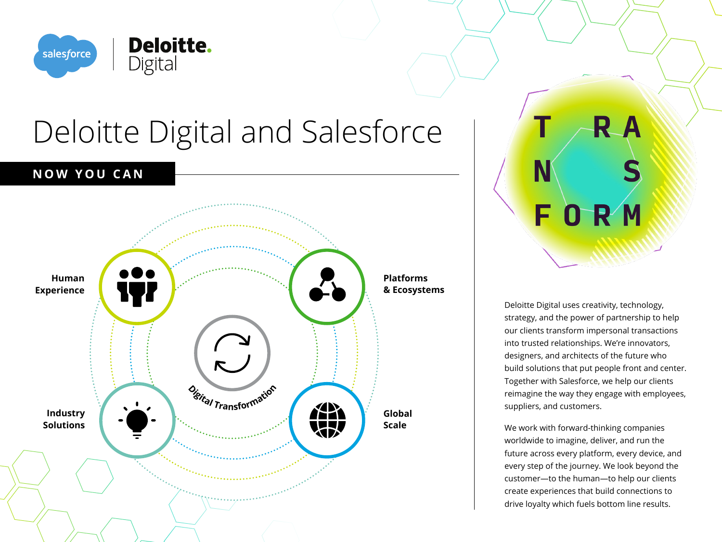

# Deloitte Digital and Salesforce

### **NOW YOU CAN**



R A FORM

Deloitte Digital uses creativity, technology, strategy, and the power of partnership to help our clients transform impersonal transactions into trusted relationships. We're innovators, designers, and architects of the future who build solutions that put people front and center. Together with Salesforce, we help our clients reimagine the way they engage with employees, suppliers, and customers.

We work with forward-thinking companies worldwide to imagine, deliver, and run the future across every platform, every device, and every step of the journey. We look beyond the customer—to the human—to help our clients create experiences that build connections to drive loyalty which fuels bottom line results.